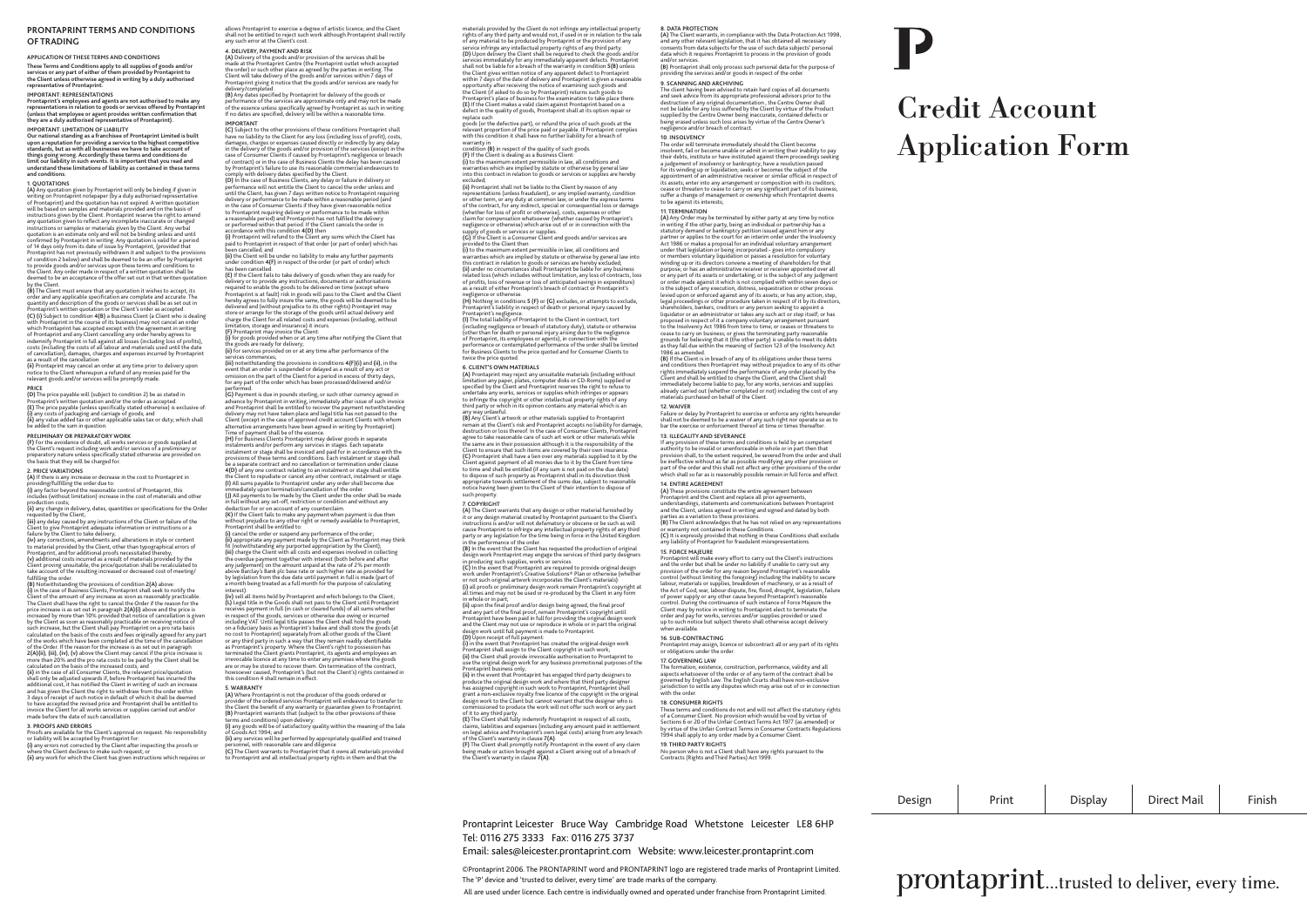## **PRONTAPRINT TERMS AND CONDITIONS OF TRADING**

## **APPLICATION OF THESE TERMS AND CONDITIONS These Terms and Conditions apply to all supplies of goods and/or services or any part of either of them provided by Prontaprint to the Client unless otherwise agreed in writing by a duly authorised representative of Prontaprint.**

IMPORTANT: REPRESENTATIONS<br>Prontaprint's employees and agents are not authorised to make any<br>representations in relation to goods or services offered by Prontaprint<br>(unless that employee or agent provides written confirmat

IMPORTANT: LIMITATION OF LIABILITY<br>Our national standing as a franchisee of Prontaprint Limited is built<br>upon a reputation for providing a service to the highest competitive<br>standards, but as with all businesses we have to

**limit our liability in such events. It is important that you read and understand these limitations of liability as contained in these terms** 

and conditions.<br>The Condition of the state of the state of the state of the state of the<br> $\langle A \rangle$  Apy quotation gives by Prontaprint will only be binding if given in<br>ori Programma and the equation bas not sometical. A writ the Client. Any order made in respect of a written quotation shall be deemed to be an acceptance of the offer set out in that written quotation

by the Client. **(B)** The Client must ensure that any quotation it wishes to accept, its order and any applicable specification are complete and accurate. The<br>quantity and description of the goods or services shall be as set out in<br>Prontaprint's written quotation or the Client's order as accepted. (C) (I) Subject to condition 4 (B) a Business Client (a Client who is dealing<br>which Prontaprint in the course of its business) may not cancel an order<br>which Prontaprint has accepted except with the agreement in writing<br>of و تصحب رسیده است و در این دست است.<br>The cancellation), damages, charges and expenses incurred by Prontaprint<br>as a result of the cancellation

as a result of the cancellation.<br>(ii) Prontaprint may cancel an order at any time prior to delivery upon<br>notice to the Client whereupon a refund of any monies paid for the<br>relevant goods and/or services will be promptly ma

**PRICE (D)** The price payable will (subject to condition 2) be as stated in Prontaprint's written quotation and/or the order as accepted.<br>**(E)** The price payable (unless specifically stated otherwise) is exclusive of: **(i)** any costs of packaging and carriage of goods; and **(ii)** any value added tax or other applicable sales tax or duty; which shall be added to the sum in question.

**PRELIMINARY OR PREPARATORY WORK**<br>(E) For the avoidance of doubt, all works services or goods supplied at (F) For the avoidance of doubt, all works services or goods supplied at<br>the Client's request including work and/or services of a preliminary or<br>preparatory nature unless specifically stated otherwise are provided on<br>the ba

**2. PRICE VARIATIONS (A)** If there is any increase or decrease in the cost to Prontaprint in

providing/fulfilling the order due to:<br>(i) any factor beyond the reasonable control of Prontaprint, this<br>includes (without limitation) increase in the cost of materials and other

production costs;<br>**(ii)** any change in delivery, dates, quantities or specifications for the Order

requested by the Client;<br>(iii) any delay caused by any instructions of the Client or failure of the<br>Client to give Prontaprint adequate information or instructions or a failure by the Client to take delivery; **(iv)** any corrections, amendments and alterations in style or content

to material provided by the Client, other than typographical errors of Prontaprint, and for additional proofs necessitated thereby; **(v)** additional costs incurred as a result of materials provided by the Client proving unsuitable; the price/quotation shall be recalculated to

take account of the resulting increased or decreased cost of meeting<br>(b) Now, when the resulting increased or condition 2(A) above:<br>(b) Now, when once the same of condition 2(A) above:<br>Client of the amount of any increase **2(A)(ii), (iii), (iv), (v)** above the Client may cancel if the price increase is<br>more than 20% and the pro rata costs to be paid by the Client shall be<br>calculated on the basis of the increased costs; and

**(ii)** in the case of all Consumer Clients, the relevant price/quotation shall only be adjusted upwards if, before Prontaprint has incurred the additional cost, it has notified the Client in writing of such an increase<br>and has given the Client the right to withdraw from the order within<br>3 days of receipt of such notice in default of which it shall be deemed to have accepted the revised price and Prontaprint shall be entitled to invoice the Client for all works services or supplies carried out and/or mode the Chentron att works services or<br>made before the date of such cancellation.

3. PROOFS AND ERRORS<br>Proofs are available for the Client's approval on request. No responsibility<br>or liability will be accepted by prontaprint for.<br>(i) any errors not corrected by the Client after inspecting the proofs or<br>

allows Prontaprint to exercise a degree of artistic licence; and the Client shall not be entitled to reject such work although Prontaprint shall rectify any such error at the Client's cost.

4. DELIVERY, PAYMENT AND RISK of the services shall be<br>(A) Delivery of the goods and/or provision of the services shall be<br>made at the Prontaprint Centre (the Prontaprint outlet which accepted<br>the order) or such other pla

delivery/completed.<br>(B) Any dates specified by Prontaprint for delivery of the goods or<br>performance of the services are approximate only and may not be made<br>of the essence unless specifically agreed by Prontaprint as such **IMPORTANT** 

# **(C)** Subject to the other provisions of these conditions Prontaprint shall<br>have no liability to the Client for any loss (including loss of profit), costs, damages, charges or expenses caused directly or indirectly by any delay<br>in the delivery of the goods and/or provision of the services (except in the<br>case of Consumer Clients if caused by Prontaprint's negligence or breach

of contract) or in the case of Business Clients the deay has been caused<br>of contract) or in the case of Business Clients the delay has been caused<br>by Prontancint's failure to use its reasonable commercial endeayours to by Prontaprint's failure to use its reasonable commercial endeavours to<br>comply with delivery dates specified by the Client.<br>**(D)** In the case of Business Clients, any delay or failure in delivery or

performance will not entitle the Client to cancel the order unless and<br>not the filter of the case of the client of the Client state of the<br>state of the case of Consumer Clienta in the case of Consumer Clienta<br>for the case

been cancelled; and **(ii)** the Client will be under no liability to make any further payments

under condition **4(F)** in respect of the order (or part of order) which has been cancelled.

**(E)** If the Client fails to take delivery of goods when they are ready for delivery or to provide any instructions, documents or authorisations required to enable the goods to be delivered on time (except where Prontaprint is at fault) risk in goods will pass to the Client and the Client hereby agrees to fully insure the same, the goods will be deemed to be delivered and (without prejudice to its other rights) Prontaprint may store or arrange for the storage of the goods until actual delivery and

charge the Client for all related costs and expenses (including, without<br>limitation, storage and insurance) it incurs.<br>(F) frontaprint may invoice the Client:<br>(i) for goods provided when or at any time after notifying the

services commences;<br>(iii) notwithstanding the provisions in conditions 4(F)(i) and (ii), in the<br>event that an order is suspended or delayed as a result of any act or<br>omission on the part of the Client for a period in exces

performed. **(G)** Payment is due in pounds sterling, or such other currency agreed in advance by Prontaprint in writing, immediately after issue of such invoice and Prontaprint shall be entitled to recover the payment notwithstanding delivery may not have taken place and legal title has not passed to the Client (except in the case of approved credit account Clients with whom

alternative arrangements have been agreed in writing by Prontaprint).<br>Time of payment shall be of the essence.<br>(H) For Business Clients Prontaprint may deliver goods in separate<br>instalments and/or perform any services in s be a separate contract and no cancellation or termination under clause<br>4(D) of any one contract relating to an instalment or stage shall entitle<br>the Client to repudiate or cancel any other contract, instalment or stage.<br>(I

immediately upon termination/cancellation of the order.<br>**(J)** All payments to be made by the Client under the order shall be made<br>in full without any set-off, restriction or condition and without any

deduction for or on account of any counterclaim. **(K)** If the Client fails to make any payment when payment is due then

without prejudice to any other right or remedy available to Prontaprint,<br>Prontaprint shall be entitled to:<br>**(i)** cancel the order or suspend any performance of the order; **(ii)** appropriate any payment made by the Client as Prontaprint may think<br>(ii) appropriate any payment made by the Client as Prontaprint may think<br>fit (notwithstanding any nurported appropriation by the Client) fit (notwithstanding any purported appropriation by the Client);<br>(iii) charge the Client with all costs and expenses involved in collecting<br>the overdue payment together with interest (both before and after<br>any judgement) o gistation from the due date until payment in full is made (part of<br>inth being treated as a full month for the purpose of calculating

interest).<br>In the main distance of the protrap in the state of the client;<br>(b) sell all terms held by Protraprint and which belongs to the Client;<br>receive payment in full (in cash or cleared funds) of all sums whether<br>rece as Prontaprint's property. Where the Client's right to possession has terminated the Client grants Prontaprint, its agents and employees an irrevocable licence at any time to enter any premises where the goods are or may be stored to recover them. On termination of the contract, howsoever caused, Prontaprint's (but not the Client's) rights contained in this condition 4 shall remain in effect.

### **5. WARRANTY**

**(A)** Where Prontaprint is not the producer of the goods ordered or provider of the ordered services Prontaprint will endeavour to transfer to<br>the Client the benefit of any warranty or guarantee given to Prontaprint.<br>(B) Prontaprint warrants that (subject to the other provisions of these<br>t

of Coods Act 1994; and<br>(ii) any services will be performed by appropriately qualified and trained<br>personnel, with reasonable care and diligence<br>(C) The Client warrants to Prontaprint that it owns all materials provided<br>to

materials provided by the Client do not infringe any intellectual property rights of any third party and would not, if used in or in relation to the sale of any material to be produced by Prontaprint or the provision of any

service infringe any intellectual property rights of any third party.<br>Service infringe any intellectual property rights of any third party.<br>(D) Unon delivery the Client shall be required to check the goods and/or **(D)** Upon delivery the Client shall be required to check the goods and/or services immediately for any immediately apparent defects. Prontaprint shall not be lable for a breach of the warranty in condition AlB) unless<br>the Chent gives witten notice of any apparent defect to Prontaprint<br>within 7 days of the date of delivery and Prontaprint is given a reasonable<br>hyper

replace such goods (or the defective part), or refund the price of such goods at the relevant proportion of the price paid or payable. If Prontaprint complies with this condition it shall have no further liability for a breach of

warranty in<br>condition **(B)** in respect of the quality of such goods.<br>**(F)** If the Client is dealing as a Business Client:

**(i)** if the cuent is dealing as a business cuent:<br>**(i)** to the maximum extent permissible in law, all conditions and<br>warranties which are implied by statute or otherwise by general law warranties which are implied by statute or otherwise by general law into this contract in relation to goods or services or supplies are hereby

excluded;<br>They constant and the behavior to the Client by reason of any<br>prepresentations (unless fraudelinet), or any implied warranty, condition<br>or other term, or any dury at common law, or under the express terms<br>of the

supply of goods or services or supplies. **(G)** If the Client is a Consumer Client and goods and/or services are

provided to the Client then **(i)** to the maximum extent permissible in law, all conditions and warranties which are implied by statute or otherwise by general law into this contract in relation to goods or services are hereby excluded; **(ii)** under no circumstances shall Prontaprint be liable for any business related loss (which includes without limitation, any loss of contracts, loss of profi ts, loss of revenue or loss of anticipated savings in expenditure) or profits, toss of revenue of toss of anticipated savings in experience<br>as a result of either Prontaprint's breach of contract or Prontaprint's<br>nonlinear or ethenwise

negligence or otherwise. **(H)** Nothing in conditions **5 (F)** or **(G)** excludes, or attempts to exclude,

Prontaprint's liability in respect of death or personal injury caused by<br>Prontaprint's inegligence.<br>(1) The total liability of Prontaprint to the Client in contract, rort<br>(including megligence or breach of statutory dury), twice the price quoted.

### **6. CLIENT'S OWN MATERIALS**

**(A)** Prontaprint may reject any unsuitable materials (including without limitation any paper, plates, computer disks or CD-Roms) supplied or specified by the Client and Prontaprint reserves the right to refuse to<br>undertake any works, services or supplies which infringes or appears<br>to infringe the copyright or other intellectual property rights of any<br>third part

any way unlaw/th.<br>The Vietnamian at the Clinck instanting supplied to Prontaprint<br>(B) Any Client's artwork or other materials supplied to Prontaprint<br>destruction or loss thereof. In the case of Consumer Clients, Prontaprin Client against payment of all monies due to it by the Client from time to time and shall be entitled (if any sum is not paid on the due date) to dispose of such property as Prontaprint shall in its discretion think<br>appropriate towards settlement of the sums due, subject to reasonable<br>notice having been given to the Client of their intention to dispose of such property.

7. COPYRIGHT<br>(A) The Client warrants that any design or other material furnished by<br>it or any design material created by Prontaprint pursuant to the Client's<br>instructions is and/or will not defamatory or obscene or be such in the performance of the order. **(B)** In the event that the Client has requested the production of original design work Prontaprint may engage the services of third party designers in producing such supplies, works or services. **(C)** In the event that Prontaprint are required to provide original design work under Prontaprint's Creative Solutions® Plan or otherwise (whether or not such original artwork incorporates the Client's materials):<br>(i) all proofs or preliminary design work remain Prontaprint's copyright at<br>all times and may not be used or re-produced by the Client in any form<br>in whole (ii) upon the final proof and/or design being agreed, the final proof<br>and any part of the final proof, remain Prontaprint's copyright until<br>Prontaprint have been paid in full for providing the original design work<br>and the Prontaprint shall assign to the Client copyright in such work;<br>(**ii)** the Client shall provide irrevocable authorisation to Prontaprint to<br>use the original design work for any business promotional purposes of the

Prontaprint business only; **(ii)** in the event that Prontaprint has engaged third party designers to produce the original design work and where that third party designer has assigned copyright in such work to Prontaprint, Prontaprint shall grant a non-exclusive royalty free licence of the copyright in the original design work to the Client but cannot warrant that the designer who is

commissioned to produce the work will not offer such work or any part of it to any third party. (E) The Client shall fully indemnify Prontaprint in respect of all costs,<br>claims, liabilities and expenses (including any amount paid in settlement<br>on legal advice and Prontaprint is own legal costs) arising from any brea

**8. DATA PROTECTION**<br>(**A**) The Client warrants, in compliance with the Data Protection Act 1998,<br>and any other relevant legislation, that it has obtained all necessary consents from data subjects for the use of such data subjects' personal data which it requires Prontaprint to process in the provision of goods and/or services. **(B)** Prontaprint shall only process such personal data for the purpose of

**providing the services and/or goods in respect of the order.**<br>Providing the services and/or goods in respect of the order.

9. SCANNING AND ARCHIVING<br>The client having been advised to retain hard copies of all documents<br>and seek advice from its appropriate professional advisors prior to the<br>destruction of any original documentation , the Centre supplied by the Centre Owner being inaccurate, contained defects or being erased unless such loss arises by virtue of the Centre Owner's negligence and/or breach of contract.

10. INSOLVENCY<br>The order will terminate immediately should the Client become<br>Insolvent, fail or become unable or admit in writing their inability to pay<br>their debts, institute or have instituted against them proceedings se for its winding up or liquidation; seeks or becomes the subject of the appointment of an administrative receiver or similar offi cial in respect of its assets; enter into any arrangement or composition with its creditors; cease or threaten to cease to carry on any signifi cant part of its business; suffer a change of management or ownership which Prontaprint deems to be against its interests;

11. TERMINATION<br>(A) JAYO CHE TON THE SERVE THE SERVE THAT A SUPPOSE THAT A THAT A STAIR STAIR STAIRS STAIRS AND THAT STAIRS A<br>Statutory demand or bankruptcy petition issued against him or any<br>partner or applies to the cou under that legislation or being incorporated:- goes into compulsory or members voluntary liquidation or passes a resolution for voluntary winding up or its directors convene a meeting of shareholders for that purpose; or has an administrative receiver or receiver appointed over all part part of its assets or undertaking; or is the subject of any judgment<br>or order made against it which is not complied with within seven days or or order made against it which is not complied with within seven days or<br>the subject of any execution, distress, sequestration or other process<br>level upon or enforced against any of its axests; or has any action, step,<br>reg grounds for believing that it (the other party) is unable to meet its debts as they fall due within the meaning of Section 123 of the Insolvency Act

1986 as amended.<br>(B) If the Client is in breach of any of its obligations under these terms **(B)** If the Client is in breach of any of its obligations under these terms and conditions then Prontaprint may without prejudice to any of its other rights immediately suspend the performance of any order placed by the<br>Client and shall be entitled to charge the Client, and the Client shall<br>immediately become liable to pay, for any works, services and supplies<br>already c

**12. WAIVER**  Failure or delay by Prontaprint to exercise or enforce any rights hereunder shall not be deemed to be a waiver of any such right nor operate so as to bar the exercise or enforcement thereof at time or times thereafter.

13. ILLEGALITY AND SEVERANCE<br>
If my provision of these terms and conditions is held by an competent<br>
authority to be invalide to unerforceable in whole of in part then that shall<br>
be ineffective without as far as possible **14. ENTIRE AGREEMENT** 

**(A)** These provisions constitute the entire agreement between Prontaprint and the Client and replace all prior agreements, rioniapmint and the curric and replace at prior agreements.<br>understandings, statements and communications between Prontaprint<br>and the Client, unless agreed in writing and signed and dated by both and the Client, unleas agreed in writing and signed and dated by both<br>parties as a variation to these provisions.<br>(8) The Client acknowledges that he has not relied on any representations<br>for warranty not contained in thes

**15. FORCE MAJEURE** 

Prontaprint will make every effort to carry out the Client's instructions<br>and the order but shall be under no liability if unable to carry out any and the order but shall be under no liability if unable to carry out any<br>provision of the order for any reason beyond Prontaprint's reasonable<br>control (whitout limiting the foregoing) including the inability to secure<br>labo

**16. SUB-CONTRACTING** Prontaprint may assign, licence or subcontract all or any part of its rights or obligations under the order.

17. GOVERNING LAW<br>The formation, existence, construction, performance, validity and all<br>aspects whatsoever of the order or of any term of the contract shall be<br>governed by English Law. The English Courts shall have non-exc with the order.<br>18. CONSUMER RIGHTS

18. CONSUMER RIGHTS<br>These terms and conditions do not and will not affect the statutory rights<br>of a Consumer Client. No provision which would be void by virtue of<br>Sections 6 or 20 of the Unfair Contract Terms Art 1977 (as 1994 shall apply to any order made by a Consumer Client.<br>1994 shall apply to any order made by a Consumer Client. **19. THIRD PARTY RIGHTS**  No person who is not a Client shall have any rights pursuant to the Contracts (Rights and Third Parties) Act 1999.

 Prontaprint Leicester Bruce Way Cambridge Road Whetstone Leicester LE8 6HP Tel: 0116 275 3333 Fax: 0116 275 3737

## Email: sales@leicester.prontaprint.com Website: www.leicester.prontaprint.com

 ©Prontaprint 2006. The PRONTAPRINT word and PRONTAPRINT logo are registered trade marks of Prontaprint Limited. The 'P' device and 'trusted to deliver, every time' are trade marks of the company.

All are used under licence. Each centre is individually owned and operated under franchise from Prontaprint Limited.

# Credit Account Application Form

| Design | Print | Display | Direct Mail | Finish |
|--------|-------|---------|-------------|--------|
|--------|-------|---------|-------------|--------|

**prontaprint**...trusted to deliver, every time.

 $\pm$ 

 $\mathbf{L}$ 

 $\blacksquare$ 

 $\overline{1}$